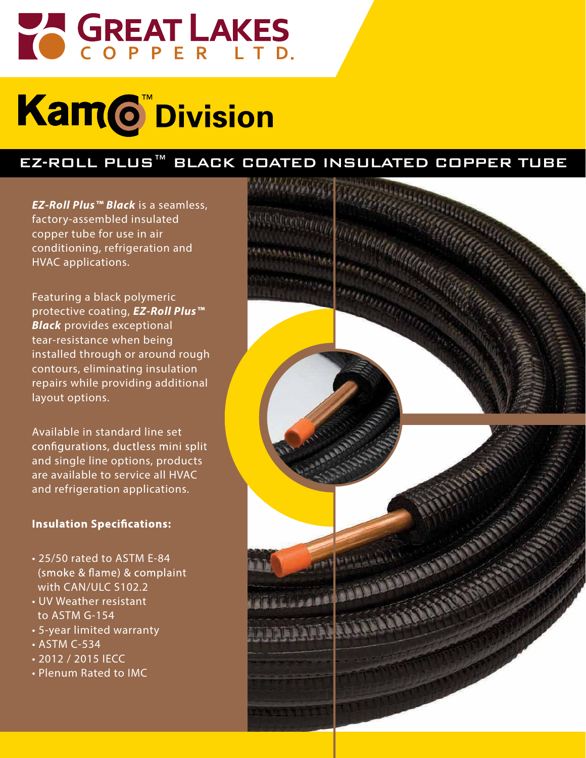

# **Kam©** Division

### EZ-ROLL PLUS™ BLACK COATED INSULATED COPPER TUBE

*EZ-Roll Plus™ Black* is a seamless, factory-assembled insulated copper tube for use in air conditioning, refrigeration and HVAC applications.

Featuring a black polymeric protective coating, *EZ-Roll Plus™ Black* provides exceptional tear-resistance when being installed through or around rough contours, eliminating insulation repairs while providing additional layout options.

Available in standard line set configurations, ductless mini split and single line options, products are available to service all HVAC and refrigeration applications.

### **Insulation Specifications:**

- 25/50 rated to ASTM E-84 (smoke & flame) & complaint with CAN/ULC S102.2
- UV Weather resistant to ASTM G-154
- 5-year limited warranty
- ASTM C-534
- 2012 / 2015 IECC
- Plenum Rated to IMC